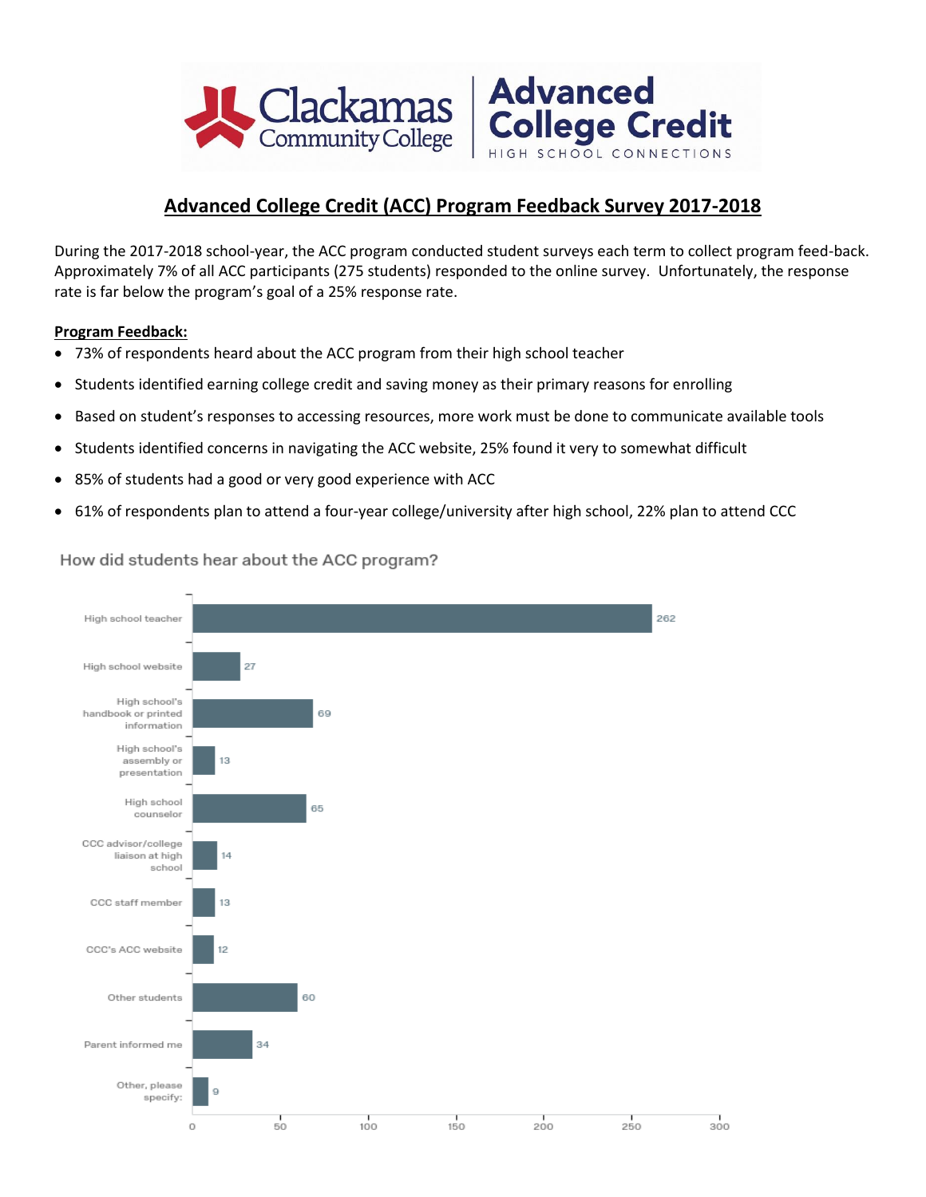

## **Advanced College Credit (ACC) Program Feedback Survey 2017-2018**

During the 2017-2018 school-year, the ACC program conducted student surveys each term to collect program feed-back. Approximately 7% of all ACC participants (275 students) responded to the online survey. Unfortunately, the response rate is far below the program's goal of a 25% response rate.

#### **Program Feedback:**

- 73% of respondents heard about the ACC program from their high school teacher
- Students identified earning college credit and saving money as their primary reasons for enrolling
- Based on student's responses to accessing resources, more work must be done to communicate available tools
- Students identified concerns in navigating the ACC website, 25% found it very to somewhat difficult
- 85% of students had a good or very good experience with ACC
- 61% of respondents plan to attend a four-year college/university after high school, 22% plan to attend CCC



How did students hear about the ACC program?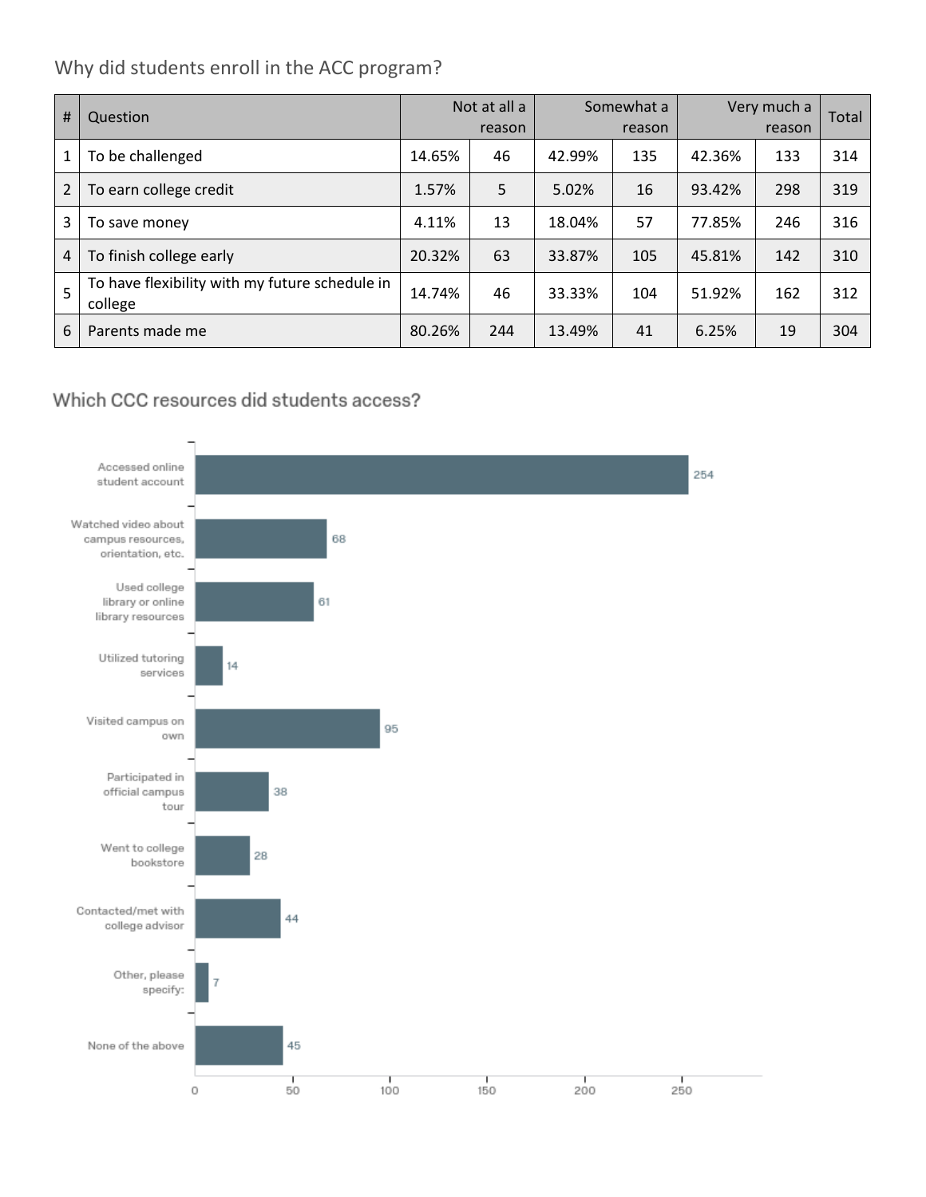# Why did students enroll in the ACC program?

| #              | Question                                                  |        | Not at all a<br>reason |        | Somewhat a<br>reason | Very much a | Total |     |
|----------------|-----------------------------------------------------------|--------|------------------------|--------|----------------------|-------------|-------|-----|
| 1              | To be challenged                                          | 14.65% | 46                     | 42.99% | 135                  | 42.36%      | 133   | 314 |
| $\overline{2}$ | To earn college credit                                    | 1.57%  | 5                      | 5.02%  | 16                   | 93.42%      | 298   | 319 |
| 3              | To save money                                             | 4.11%  | 13                     | 18.04% | 57                   | 77.85%      | 246   | 316 |
| $\overline{4}$ | To finish college early                                   | 20.32% | 63                     | 33.87% | 105                  | 45.81%      | 142   | 310 |
| 5              | To have flexibility with my future schedule in<br>college | 14.74% | 46                     | 33.33% | 104                  | 51.92%      | 162   | 312 |
| 6              | Parents made me                                           | 80.26% | 244                    | 13.49% | 41                   | 6.25%       | 19    | 304 |

# Which CCC resources did students access?

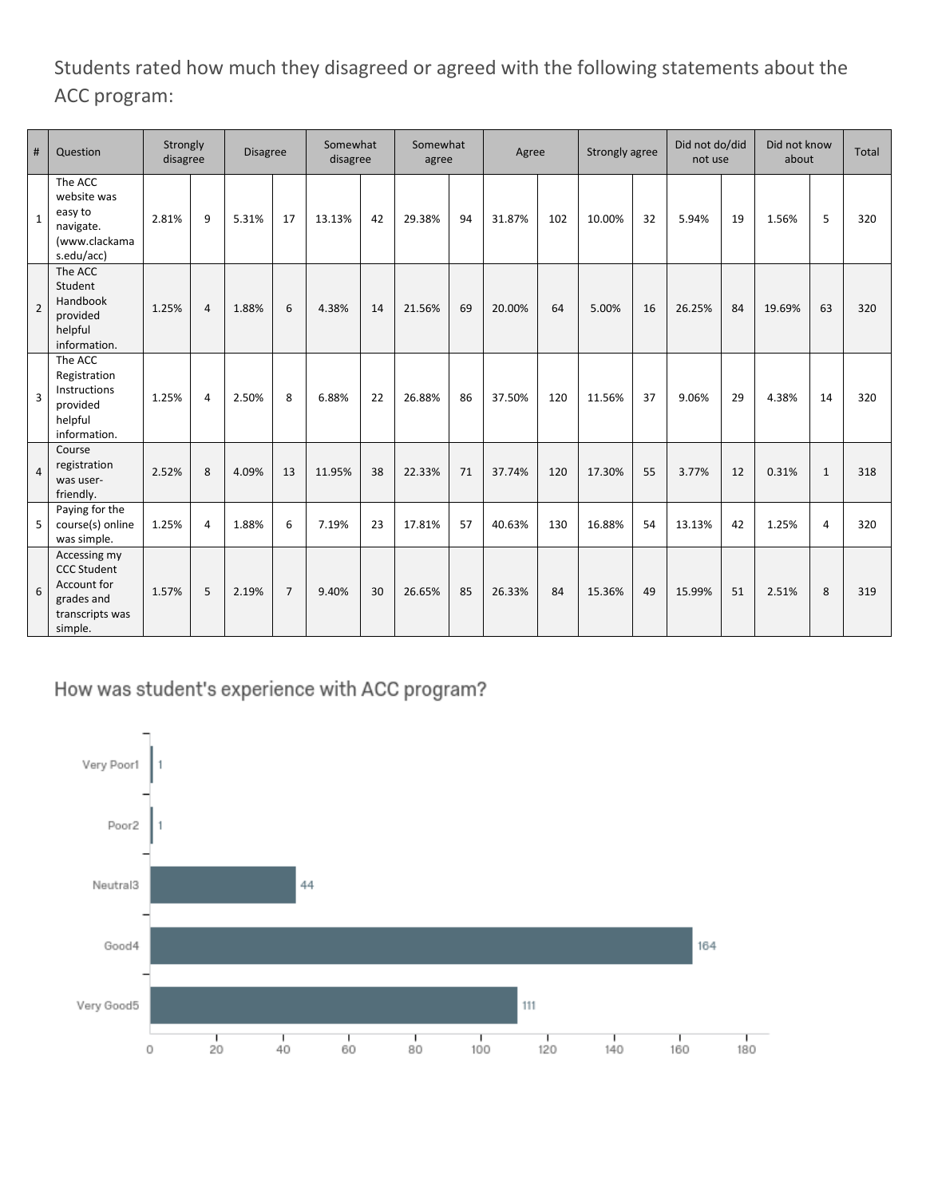Students rated how much they disagreed or agreed with the following statements about the ACC program:

| #              | Question                                                                                      | Strongly<br>disagree |                | <b>Disagree</b> |                | Somewhat<br>disagree |    | Somewhat<br>agree |    | Agree  |     | Strongly agree |    |        | Did not do/did<br>not use |        | Did not know<br>about |     |
|----------------|-----------------------------------------------------------------------------------------------|----------------------|----------------|-----------------|----------------|----------------------|----|-------------------|----|--------|-----|----------------|----|--------|---------------------------|--------|-----------------------|-----|
| $\mathbf{1}$   | The ACC<br>website was<br>easy to<br>navigate.<br>(www.clackama<br>s.edu/acc)                 | 2.81%                | 9              | 5.31%           | 17             | 13.13%               | 42 | 29.38%            | 94 | 31.87% | 102 | 10.00%         | 32 | 5.94%  | 19                        | 1.56%  | 5                     | 320 |
| $\overline{2}$ | The ACC<br>Student<br>Handbook<br>provided<br>helpful<br>information.                         | 1.25%                | $\overline{a}$ | 1.88%           | 6              | 4.38%                | 14 | 21.56%            | 69 | 20.00% | 64  | 5.00%          | 16 | 26.25% | 84                        | 19.69% | 63                    | 320 |
| 3              | The ACC<br>Registration<br>Instructions<br>provided<br>helpful<br>information.                | 1.25%                | 4              | 2.50%           | 8              | 6.88%                | 22 | 26.88%            | 86 | 37.50% | 120 | 11.56%         | 37 | 9.06%  | 29                        | 4.38%  | 14                    | 320 |
| $\overline{4}$ | Course<br>registration<br>was user-<br>friendly.                                              | 2.52%                | 8              | 4.09%           | 13             | 11.95%               | 38 | 22.33%            | 71 | 37.74% | 120 | 17.30%         | 55 | 3.77%  | 12                        | 0.31%  | $\mathbf{1}$          | 318 |
| 5              | Paying for the<br>course(s) online<br>was simple.                                             | 1.25%                | $\overline{4}$ | 1.88%           | 6              | 7.19%                | 23 | 17.81%            | 57 | 40.63% | 130 | 16.88%         | 54 | 13.13% | 42                        | 1.25%  | 4                     | 320 |
| 6              | Accessing my<br><b>CCC Student</b><br>Account for<br>grades and<br>transcripts was<br>simple. | 1.57%                | 5              | 2.19%           | $\overline{7}$ | 9.40%                | 30 | 26.65%            | 85 | 26.33% | 84  | 15.36%         | 49 | 15.99% | 51                        | 2.51%  | 8                     | 319 |

How was student's experience with ACC program?

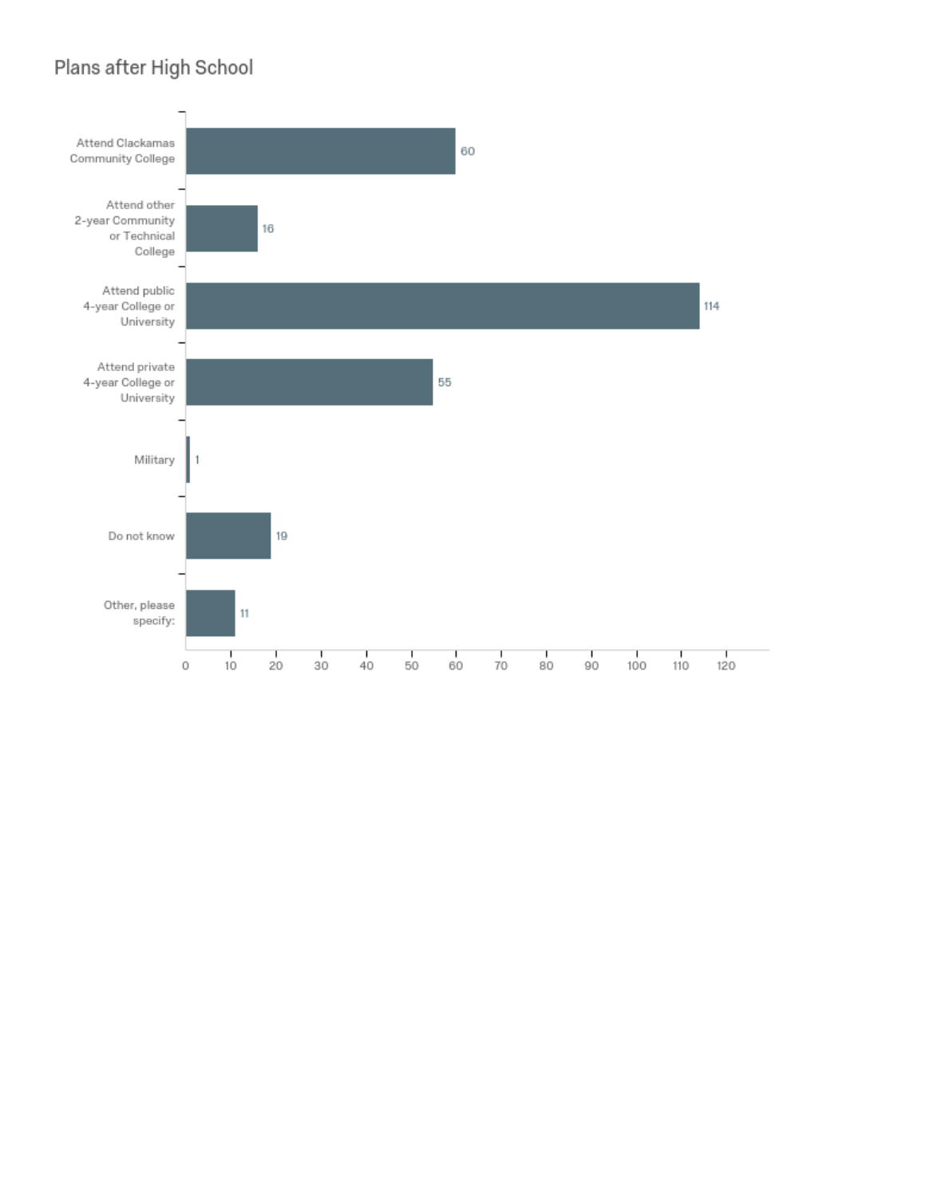# Plans after High School